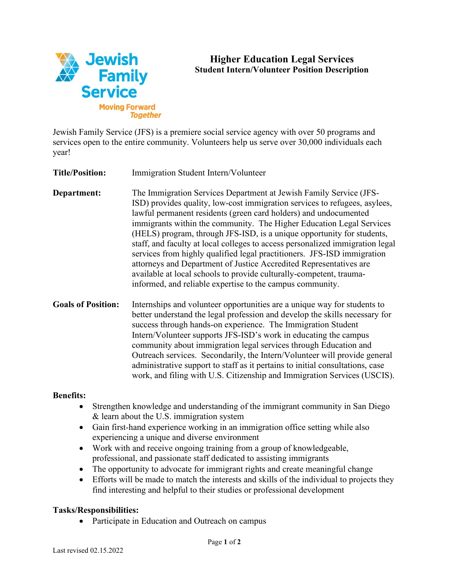

# **Higher Education Legal Services Student Intern/Volunteer Position Description**

Jewish Family Service (JFS) is a premiere social service agency with over 50 programs and services open to the entire community. Volunteers help us serve over 30,000 individuals each year!

**Title/Position:** Immigration Student Intern/Volunteer

**Department:** The Immigration Services Department at Jewish Family Service (JFS-ISD) provides quality, low-cost immigration services to refugees, asylees, lawful permanent residents (green card holders) and undocumented immigrants within the community. The Higher Education Legal Services (HELS) program, through JFS-ISD, is a unique opportunity for students, staff, and faculty at local colleges to access personalized immigration legal services from highly qualified legal practitioners. JFS-ISD immigration attorneys and Department of Justice Accredited Representatives are available at local schools to provide culturally-competent, traumainformed, and reliable expertise to the campus community.

**Goals of Position:** Internships and volunteer opportunities are a unique way for students to better understand the legal profession and develop the skills necessary for success through hands-on experience. The Immigration Student Intern/Volunteer supports JFS-ISD's work in educating the campus community about immigration legal services through Education and Outreach services. Secondarily, the Intern/Volunteer will provide general administrative support to staff as it pertains to initial consultations, case work, and filing with U.S. Citizenship and Immigration Services (USCIS).

#### **Benefits:**

- Strengthen knowledge and understanding of the immigrant community in San Diego & learn about the U.S. immigration system
- Gain first-hand experience working in an immigration office setting while also experiencing a unique and diverse environment
- Work with and receive ongoing training from a group of knowledgeable, professional, and passionate staff dedicated to assisting immigrants
- The opportunity to advocate for immigrant rights and create meaningful change
- Efforts will be made to match the interests and skills of the individual to projects they find interesting and helpful to their studies or professional development

#### **Tasks/Responsibilities:**

• Participate in Education and Outreach on campus